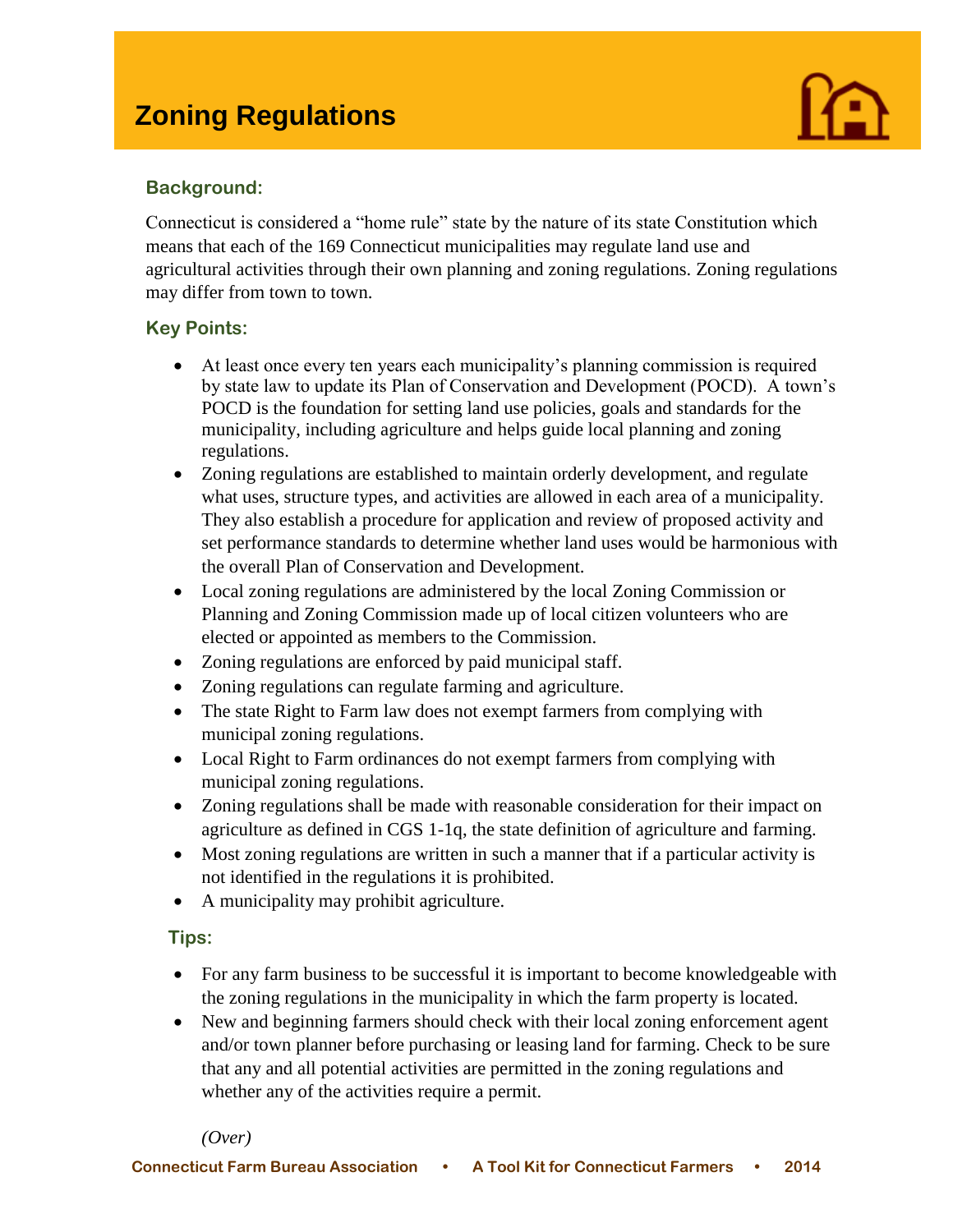

# **Background:**

I

Connecticut is considered a "home rule" state by the nature of its state Constitution which means that each of the 169 Connecticut municipalities may regulate land use and agricultural activities through their own planning and zoning regulations. Zoning regulations may differ from town to town.

# **Key Points:**

- At least once every ten years each municipality's planning commission is required by state law to update its Plan of Conservation and Development (POCD). A town's POCD is the foundation for setting land use policies, goals and standards for the municipality, including agriculture and helps guide local planning and zoning regulations.
- Zoning regulations are established to maintain orderly development, and regulate what uses, structure types, and activities are allowed in each area of a municipality. They also establish a procedure for application and review of proposed activity and set performance standards to determine whether land uses would be harmonious with the overall Plan of Conservation and Development.
- Local zoning regulations are administered by the local Zoning Commission or Planning and Zoning Commission made up of local citizen volunteers who are elected or appointed as members to the Commission.
- Zoning regulations are enforced by paid municipal staff.
- Zoning regulations can regulate farming and agriculture.
- The state Right to Farm law does not exempt farmers from complying with municipal zoning regulations.
- Local Right to Farm ordinances do not exempt farmers from complying with municipal zoning regulations.
- Zoning regulations shall be made with reasonable consideration for their impact on agriculture as defined in CGS 1-1q, the state definition of agriculture and farming.
- Most zoning regulations are written in such a manner that if a particular activity is not identified in the regulations it is prohibited.
- A municipality may prohibit agriculture.

# **Tips:**

- For any farm business to be successful it is important to become knowledgeable with the zoning regulations in the municipality in which the farm property is located.
- New and beginning farmers should check with their local zoning enforcement agent and/or town planner before purchasing or leasing land for farming. Check to be sure that any and all potential activities are permitted in the zoning regulations and whether any of the activities require a permit.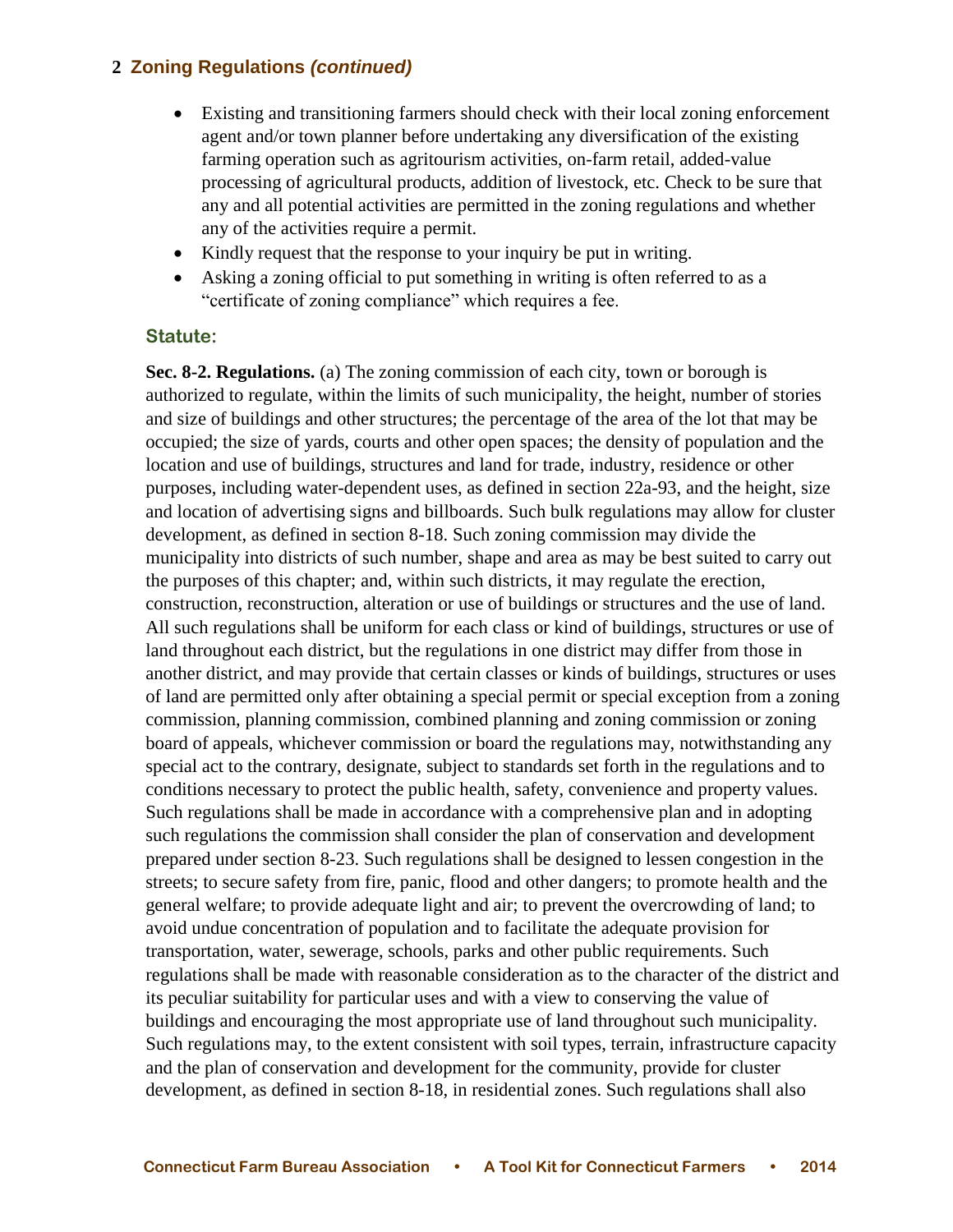- Existing and transitioning farmers should check with their local zoning enforcement agent and/or town planner before undertaking any diversification of the existing farming operation such as agritourism activities, on-farm retail, added-value processing of agricultural products, addition of livestock, etc. Check to be sure that any and all potential activities are permitted in the zoning regulations and whether any of the activities require a permit.
- Kindly request that the response to your inquiry be put in writing.
- Asking a zoning official to put something in writing is often referred to as a "certificate of zoning compliance" which requires a fee.

### **Statute:**

**Sec. 8-2. Regulations.** (a) The zoning commission of each city, town or borough is authorized to regulate, within the limits of such municipality, the height, number of stories and size of buildings and other structures; the percentage of the area of the lot that may be occupied; the size of yards, courts and other open spaces; the density of population and the location and use of buildings, structures and land for trade, industry, residence or other purposes, including water-dependent uses, as defined in section 22a-93, and the height, size and location of advertising signs and billboards. Such bulk regulations may allow for cluster development, as defined in section 8-18. Such zoning commission may divide the municipality into districts of such number, shape and area as may be best suited to carry out the purposes of this chapter; and, within such districts, it may regulate the erection, construction, reconstruction, alteration or use of buildings or structures and the use of land. All such regulations shall be uniform for each class or kind of buildings, structures or use of land throughout each district, but the regulations in one district may differ from those in another district, and may provide that certain classes or kinds of buildings, structures or uses of land are permitted only after obtaining a special permit or special exception from a zoning commission, planning commission, combined planning and zoning commission or zoning board of appeals, whichever commission or board the regulations may, notwithstanding any special act to the contrary, designate, subject to standards set forth in the regulations and to conditions necessary to protect the public health, safety, convenience and property values. Such regulations shall be made in accordance with a comprehensive plan and in adopting such regulations the commission shall consider the plan of conservation and development prepared under section 8-23. Such regulations shall be designed to lessen congestion in the streets; to secure safety from fire, panic, flood and other dangers; to promote health and the general welfare; to provide adequate light and air; to prevent the overcrowding of land; to avoid undue concentration of population and to facilitate the adequate provision for transportation, water, sewerage, schools, parks and other public requirements. Such regulations shall be made with reasonable consideration as to the character of the district and its peculiar suitability for particular uses and with a view to conserving the value of buildings and encouraging the most appropriate use of land throughout such municipality. Such regulations may, to the extent consistent with soil types, terrain, infrastructure capacity and the plan of conservation and development for the community, provide for cluster development, as defined in section 8-18, in residential zones. Such regulations shall also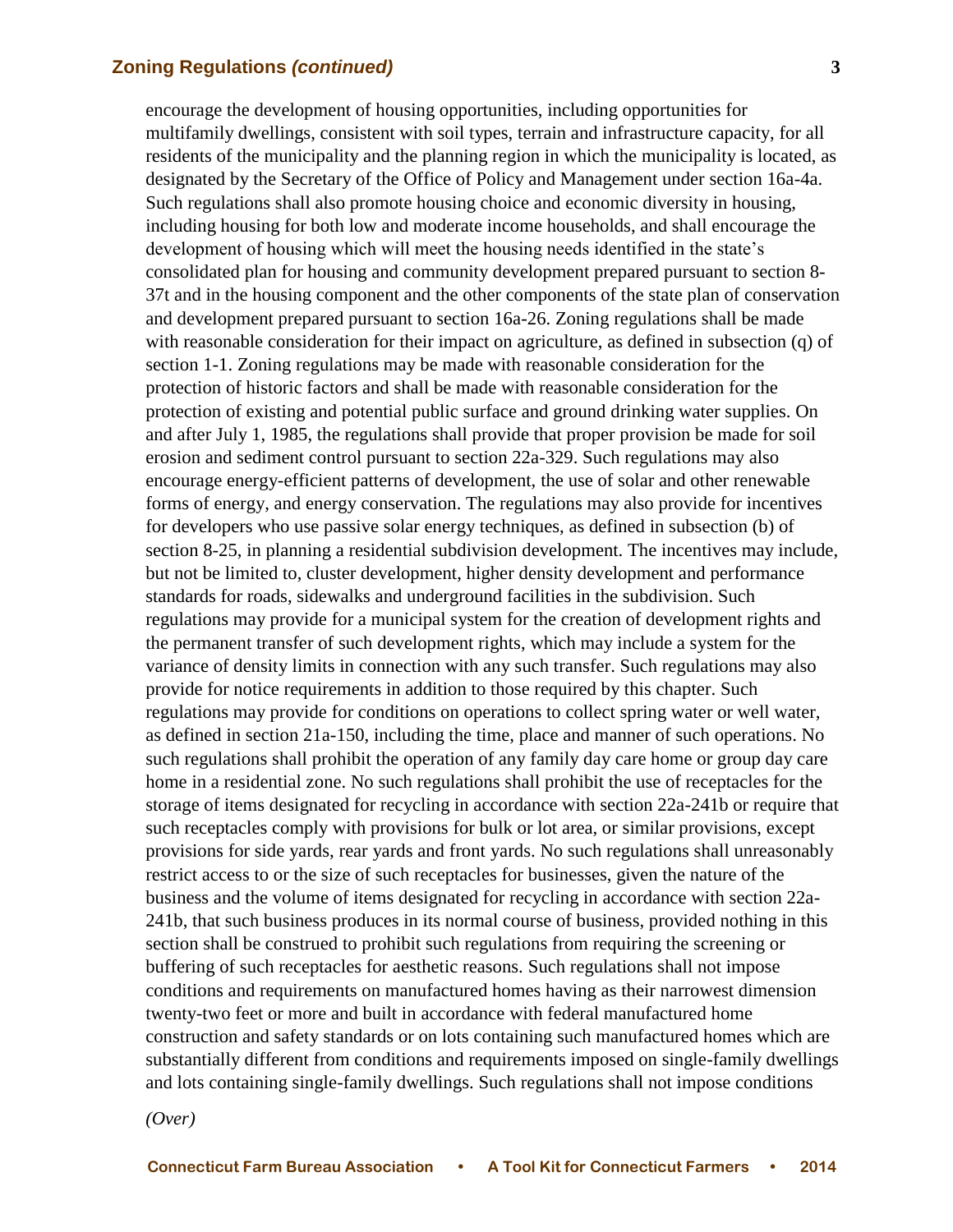encourage the development of housing opportunities, including opportunities for multifamily dwellings, consistent with soil types, terrain and infrastructure capacity, for all residents of the municipality and the planning region in which the municipality is located, as designated by the Secretary of the Office of Policy and Management under section 16a-4a. Such regulations shall also promote housing choice and economic diversity in housing, including housing for both low and moderate income households, and shall encourage the development of housing which will meet the housing needs identified in the state's consolidated plan for housing and community development prepared pursuant to section 8- 37t and in the housing component and the other components of the state plan of conservation and development prepared pursuant to section 16a-26. Zoning regulations shall be made with reasonable consideration for their impact on agriculture, as defined in subsection (q) of section 1-1. Zoning regulations may be made with reasonable consideration for the protection of historic factors and shall be made with reasonable consideration for the protection of existing and potential public surface and ground drinking water supplies. On and after July 1, 1985, the regulations shall provide that proper provision be made for soil erosion and sediment control pursuant to section 22a-329. Such regulations may also encourage energy-efficient patterns of development, the use of solar and other renewable forms of energy, and energy conservation. The regulations may also provide for incentives for developers who use passive solar energy techniques, as defined in subsection (b) of section 8-25, in planning a residential subdivision development. The incentives may include, but not be limited to, cluster development, higher density development and performance standards for roads, sidewalks and underground facilities in the subdivision. Such regulations may provide for a municipal system for the creation of development rights and the permanent transfer of such development rights, which may include a system for the variance of density limits in connection with any such transfer. Such regulations may also provide for notice requirements in addition to those required by this chapter. Such regulations may provide for conditions on operations to collect spring water or well water, as defined in section 21a-150, including the time, place and manner of such operations. No such regulations shall prohibit the operation of any family day care home or group day care home in a residential zone. No such regulations shall prohibit the use of receptacles for the storage of items designated for recycling in accordance with section 22a-241b or require that such receptacles comply with provisions for bulk or lot area, or similar provisions, except provisions for side yards, rear yards and front yards. No such regulations shall unreasonably restrict access to or the size of such receptacles for businesses, given the nature of the business and the volume of items designated for recycling in accordance with section 22a-241b, that such business produces in its normal course of business, provided nothing in this section shall be construed to prohibit such regulations from requiring the screening or buffering of such receptacles for aesthetic reasons. Such regulations shall not impose conditions and requirements on manufactured homes having as their narrowest dimension twenty-two feet or more and built in accordance with federal manufactured home construction and safety standards or on lots containing such manufactured homes which are substantially different from conditions and requirements imposed on single-family dwellings and lots containing single-family dwellings. Such regulations shall not impose conditions

*(Over)*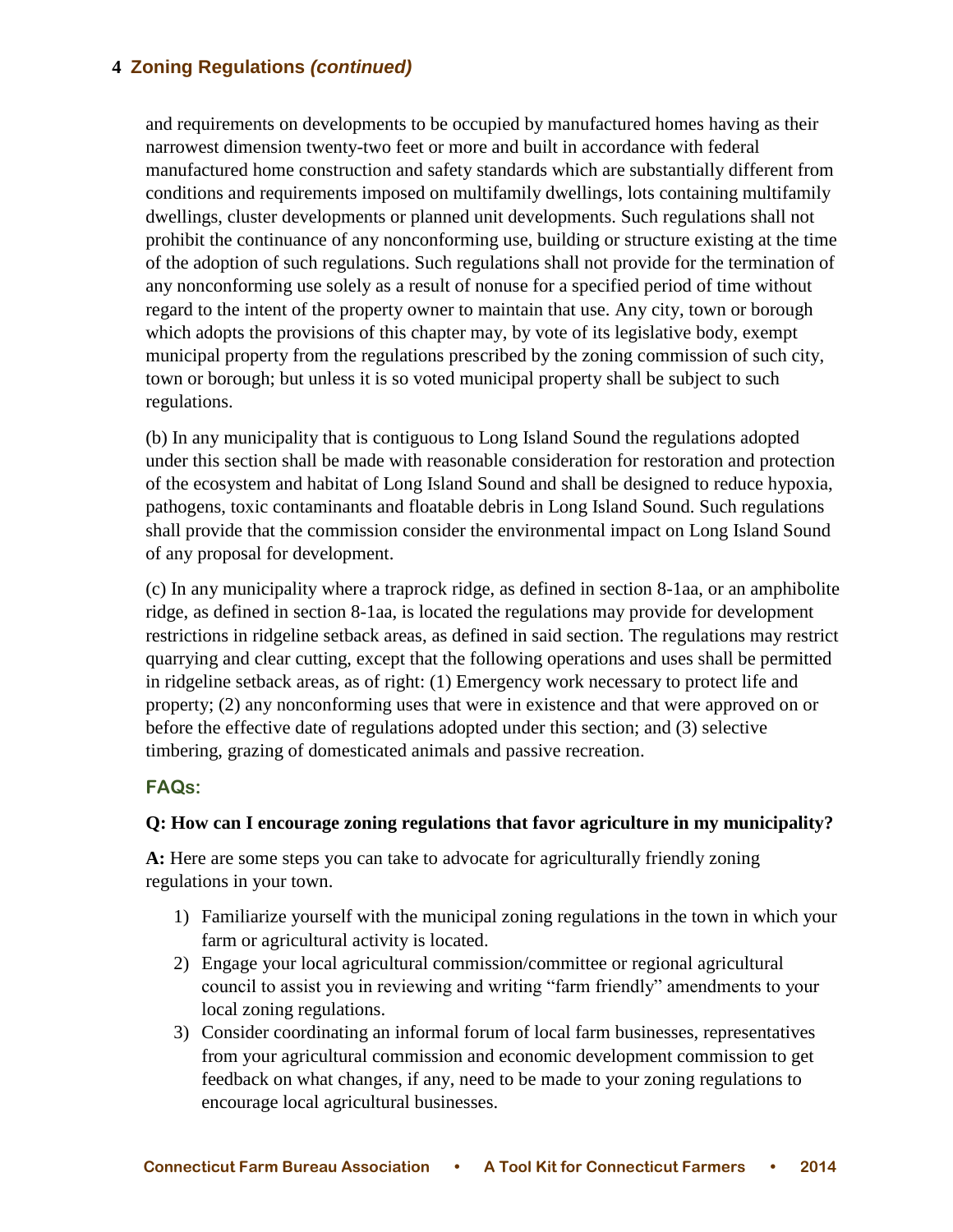and requirements on developments to be occupied by manufactured homes having as their narrowest dimension twenty-two feet or more and built in accordance with federal manufactured home construction and safety standards which are substantially different from conditions and requirements imposed on multifamily dwellings, lots containing multifamily dwellings, cluster developments or planned unit developments. Such regulations shall not prohibit the continuance of any nonconforming use, building or structure existing at the time of the adoption of such regulations. Such regulations shall not provide for the termination of any nonconforming use solely as a result of nonuse for a specified period of time without regard to the intent of the property owner to maintain that use. Any city, town or borough which adopts the provisions of this chapter may, by vote of its legislative body, exempt municipal property from the regulations prescribed by the zoning commission of such city, town or borough; but unless it is so voted municipal property shall be subject to such regulations.

(b) In any municipality that is contiguous to Long Island Sound the regulations adopted under this section shall be made with reasonable consideration for restoration and protection of the ecosystem and habitat of Long Island Sound and shall be designed to reduce hypoxia, pathogens, toxic contaminants and floatable debris in Long Island Sound. Such regulations shall provide that the commission consider the environmental impact on Long Island Sound of any proposal for development.

(c) In any municipality where a traprock ridge, as defined in section 8-1aa, or an amphibolite ridge, as defined in section 8-1aa, is located the regulations may provide for development restrictions in ridgeline setback areas, as defined in said section. The regulations may restrict quarrying and clear cutting, except that the following operations and uses shall be permitted in ridgeline setback areas, as of right: (1) Emergency work necessary to protect life and property; (2) any nonconforming uses that were in existence and that were approved on or before the effective date of regulations adopted under this section; and (3) selective timbering, grazing of domesticated animals and passive recreation.

# **FAQs:**

# **Q: How can I encourage zoning regulations that favor agriculture in my municipality?**

**A:** Here are some steps you can take to advocate for agriculturally friendly zoning regulations in your town.

- 1) Familiarize yourself with the municipal zoning regulations in the town in which your farm or agricultural activity is located.
- 2) Engage your local agricultural commission/committee or regional agricultural council to assist you in reviewing and writing "farm friendly" amendments to your local zoning regulations.
- 3) Consider coordinating an informal forum of local farm businesses, representatives from your agricultural commission and economic development commission to get feedback on what changes, if any, need to be made to your zoning regulations to encourage local agricultural businesses.